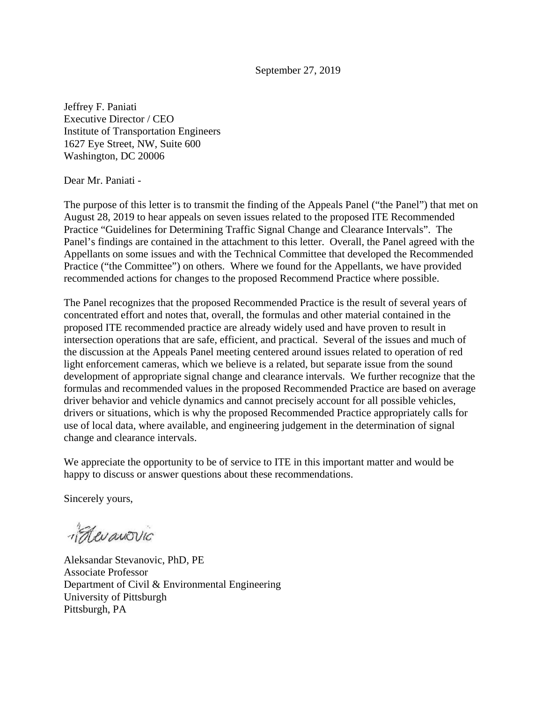September 27, 2019

Jeffrey F. Paniati Executive Director / CEO Institute of Transportation Engineers 1627 Eye Street, NW, Suite 600 Washington, DC 20006

Dear Mr. Paniati -

The purpose of this letter is to transmit the finding of the Appeals Panel ("the Panel") that met on August 28, 2019 to hear appeals on seven issues related to the proposed ITE Recommended Practice "Guidelines for Determining Traffic Signal Change and Clearance Intervals". The Panel's findings are contained in the attachment to this letter. Overall, the Panel agreed with the Appellants on some issues and with the Technical Committee that developed the Recommended Practice ("the Committee") on others. Where we found for the Appellants, we have provided recommended actions for changes to the proposed Recommend Practice where possible.

The Panel recognizes that the proposed Recommended Practice is the result of several years of concentrated effort and notes that, overall, the formulas and other material contained in the proposed ITE recommended practice are already widely used and have proven to result in intersection operations that are safe, efficient, and practical. Several of the issues and much of the discussion at the Appeals Panel meeting centered around issues related to operation of red light enforcement cameras, which we believe is a related, but separate issue from the sound development of appropriate signal change and clearance intervals. We further recognize that the formulas and recommended values in the proposed Recommended Practice are based on average driver behavior and vehicle dynamics and cannot precisely account for all possible vehicles, drivers or situations, which is why the proposed Recommended Practice appropriately calls for use of local data, where available, and engineering judgement in the determination of signal change and clearance intervals.

We appreciate the opportunity to be of service to ITE in this important matter and would be happy to discuss or answer questions about these recommendations.

Sincerely yours,

Kevanovic

Aleksandar Stevanovic, PhD, PE Associate Professor Department of Civil & Environmental Engineering University of Pittsburgh Pittsburgh, PA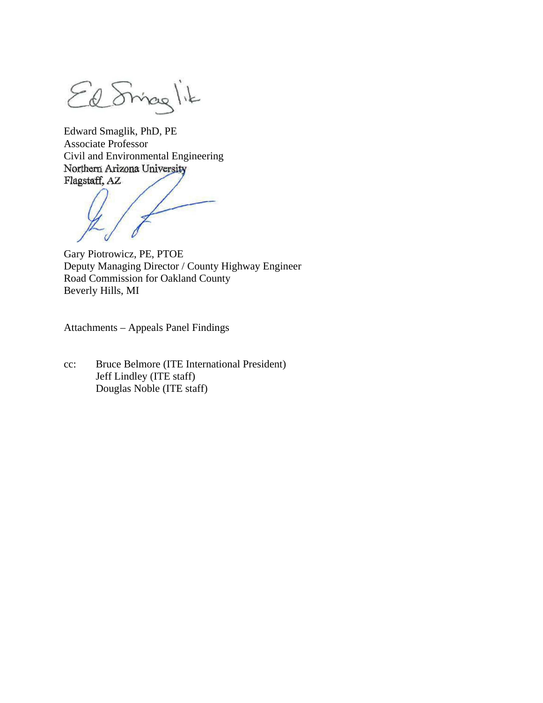El Sinaglik

Edward Smaglik, PhD, PE Associate Professor Civil and Environmental Engineering<br>Northern Arizona University Flagstaff, AZ

Gary Piotrowicz, PE, PTOE Deputy Managing Director / County Highway Engineer Road Commission for Oakland County Beverly Hills, MI

Attachments – Appeals Panel Findings

cc: Bruce Belmore (ITE International President) Jeff Lindley (ITE staff) Douglas Noble (ITE staff)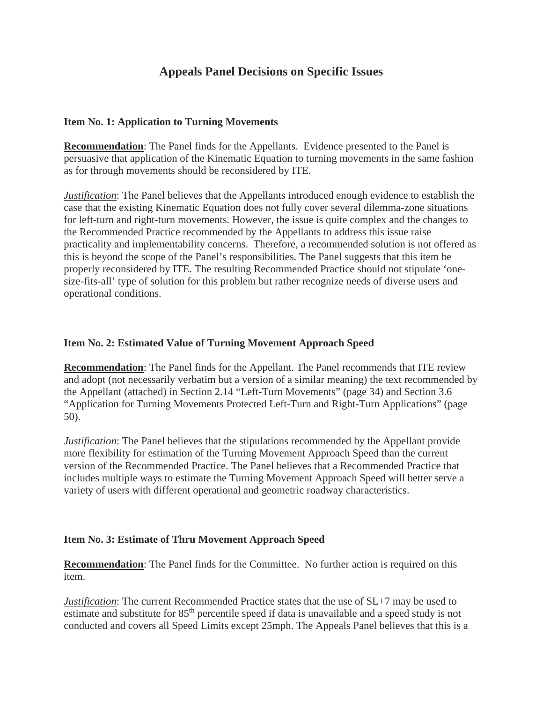## **Appeals Panel Decisions on Specific Issues**

#### **Item No. 1: Application to Turning Movements**

**Recommendation**: The Panel finds for the Appellants. Evidence presented to the Panel is persuasive that application of the Kinematic Equation to turning movements in the same fashion as for through movements should be reconsidered by ITE.

*Justification*: The Panel believes that the Appellants introduced enough evidence to establish the case that the existing Kinematic Equation does not fully cover several dilemma-zone situations for left-turn and right-turn movements. However, the issue is quite complex and the changes to the Recommended Practice recommended by the Appellants to address this issue raise practicality and implementability concerns. Therefore, a recommended solution is not offered as this is beyond the scope of the Panel's responsibilities. The Panel suggests that this item be properly reconsidered by ITE. The resulting Recommended Practice should not stipulate 'onesize-fits-all' type of solution for this problem but rather recognize needs of diverse users and operational conditions.

### **Item No. 2: Estimated Value of Turning Movement Approach Speed**

**Recommendation**: The Panel finds for the Appellant. The Panel recommends that ITE review and adopt (not necessarily verbatim but a version of a similar meaning) the text recommended by the Appellant (attached) in Section 2.14 "Left-Turn Movements" (page 34) and Section 3.6 "Application for Turning Movements Protected Left-Turn and Right-Turn Applications" (page 50).

*Justification*: The Panel believes that the stipulations recommended by the Appellant provide more flexibility for estimation of the Turning Movement Approach Speed than the current version of the Recommended Practice. The Panel believes that a Recommended Practice that includes multiple ways to estimate the Turning Movement Approach Speed will better serve a variety of users with different operational and geometric roadway characteristics.

## **Item No. 3: Estimate of Thru Movement Approach Speed**

**Recommendation**: The Panel finds for the Committee. No further action is required on this item.

*Justification*: The current Recommended Practice states that the use of SL+7 may be used to estimate and substitute for 85<sup>th</sup> percentile speed if data is unavailable and a speed study is not conducted and covers all Speed Limits except 25mph. The Appeals Panel believes that this is a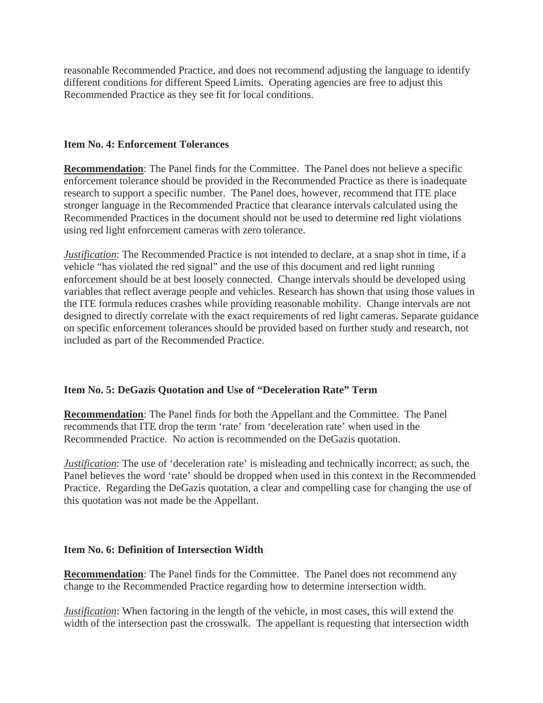reasonable Recommended Practice, and does not recommend adjusting the language to identify different conditions for different Speed Limits. Operating agencies are free to adjust this Recommended Practice as they see fit for local conditions.

#### **Item No. 4: Enforcement Tolerances**

**Recommendation**: The Panel finds for the Committee. The Panel does not believe a specific enforcement tolerance should be provided in the Recommended Practice as there is inadequate research to support a specific number. The Panel does, however, recommend that ITE place stronger language in the Recommended Practice that clearance intervals calculated using the Recommended Practices in the document should not be used to determine red light violations using red light enforcement cameras with zero tolerance.

*Justification*: The Recommended Practice is not intended to declare, at a snap shot in time, if a vehicle "has violated the red signal" and the use of this document and red light running enforcement should be at best loosely connected. Change intervals should be developed using variables that reflect average people and vehicles. Research has shown that using those values in the ITE formula reduces crashes while providing reasonable mobility. Change intervals are not designed to directly correlate with the exact requirements of red light cameras. Separate guidance on specific enforcement tolerances should be provided based on further study and research, not included as part of the Recommended Practice.

## **Item No. 5: DeGazis Quotation and Use of "Deceleration Rate" Term**

**Recommendation**: The Panel finds for both the Appellant and the Committee. The Panel recommends that ITE drop the term 'rate' from 'deceleration rate' when used in the Recommended Practice. No action is recommended on the DeGazis quotation.

*Justification*: The use of 'deceleration rate' is misleading and technically incorrect; as such, the Panel believes the word 'rate' should be dropped when used in this context in the Recommended Practice. Regarding the DeGazis quotation, a clear and compelling case for changing the use of this quotation was not made be the Appellant.

#### **Item No. 6: Definition of Intersection Width**

**Recommendation**: The Panel finds for the Committee. The Panel does not recommend any change to the Recommended Practice regarding how to determine intersection width.

*Justification*: When factoring in the length of the vehicle, in most cases, this will extend the width of the intersection past the crosswalk. The appellant is requesting that intersection width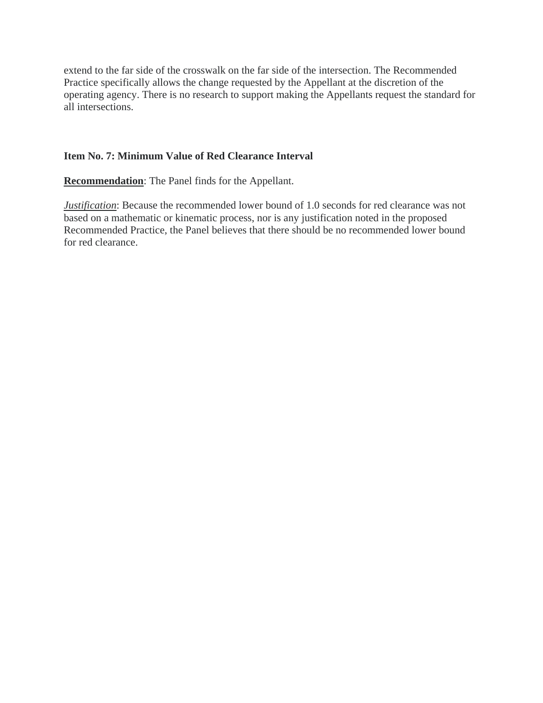extend to the far side of the crosswalk on the far side of the intersection. The Recommended Practice specifically allows the change requested by the Appellant at the discretion of the operating agency. There is no research to support making the Appellants request the standard for all intersections.

### **Item No. 7: Minimum Value of Red Clearance Interval**

**Recommendation**: The Panel finds for the Appellant.

*Justification*: Because the recommended lower bound of 1.0 seconds for red clearance was not based on a mathematic or kinematic process, nor is any justification noted in the proposed Recommended Practice, the Panel believes that there should be no recommended lower bound for red clearance.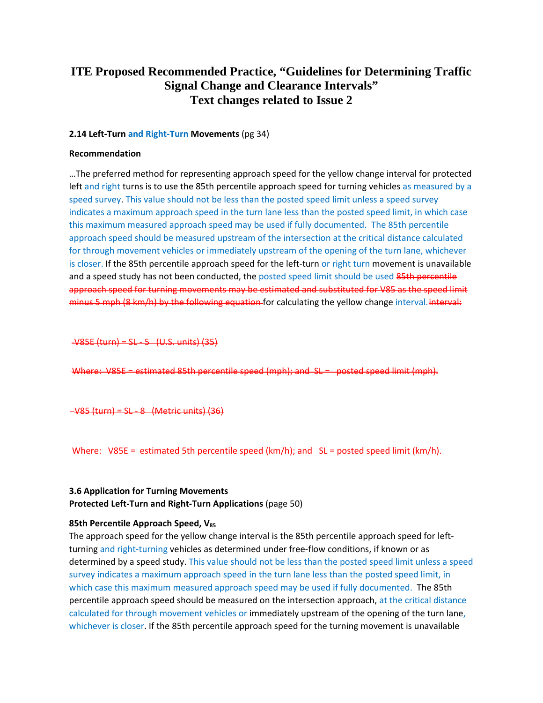# **ITE Proposed Recommended Practice, "Guidelines for Determining Traffic Signal Change and Clearance Intervals" Text changes related to Issue 2**

#### **2.14 Left-Turn and Right-Turn Movements** (pg 34)

#### **Recommendation**

…The preferred method for representing approach speed for the yellow change interval for protected left and right turns is to use the 85th percentile approach speed for turning vehicles as measured by a speed survey. This value should not be less than the posted speed limit unless a speed survey indicates a maximum approach speed in the turn lane less than the posted speed limit, in which case this maximum measured approach speed may be used if fully documented. The 85th percentile approach speed should be measured upstream of the intersection at the critical distance calculated for through movement vehicles or immediately upstream of the opening of the turn lane, whichever is closer. If the 85th percentile approach speed for the left-turn or right turn movement is unavailable and a speed study has not been conducted, the posted speed limit should be used 85th percentile approach speed for turning movements may be estimated and substituted for V85 as the speed limit minus 5 mph (8 km/h) by the following equation for calculating the yellow change interval. interval:

V85E (turn) = SL - 5 (U.S. units) (35)

Where: V85E = estimated 85th percentile speed (mph); and SL = posted speed limit (mph).

 $V85$  (turn) = SL - 8 (Metric units) (36)

-Where: V85E = estimated 5th percentile speed (km/h); and SL = posted speed limit (km/h).

### **3.6 Application for Turning Movements Protected Left-Turn and Right-Turn Applications** (page 50)

#### **85th Percentile Approach Speed, V85**

The approach speed for the yellow change interval is the 85th percentile approach speed for leftturning and right-turning vehicles as determined under free-flow conditions, if known or as determined by a speed study. This value should not be less than the posted speed limit unless a speed survey indicates a maximum approach speed in the turn lane less than the posted speed limit, in which case this maximum measured approach speed may be used if fully documented. The 85th percentile approach speed should be measured on the intersection approach, at the critical distance calculated for through movement vehicles or immediately upstream of the opening of the turn lane, whichever is closer. If the 85th percentile approach speed for the turning movement is unavailable